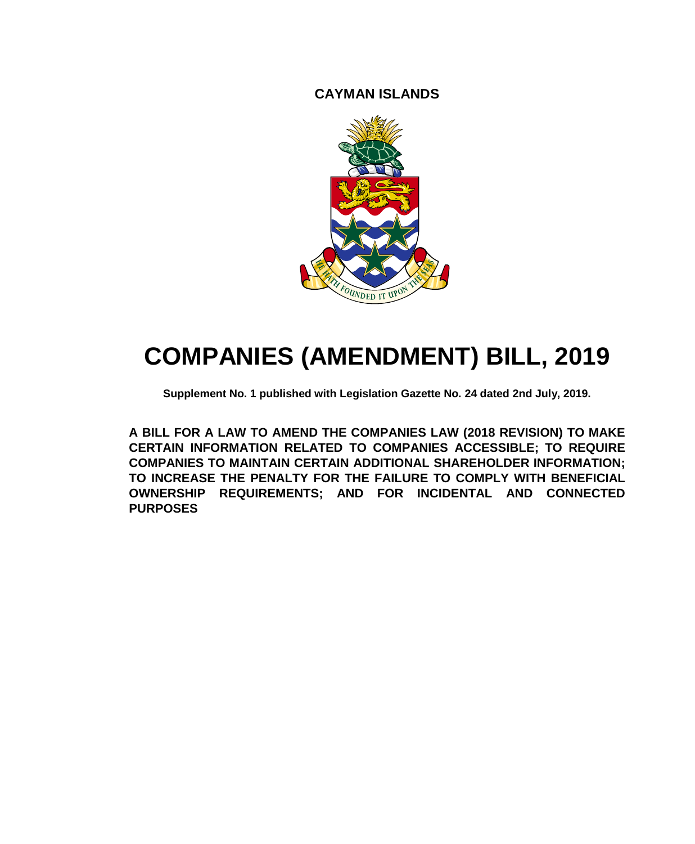**CAYMAN ISLANDS**



# **COMPANIES (AMENDMENT) BILL, 2019**

**Supplement No. 1 published with Legislation Gazette No. 24 dated 2nd July, 2019.**

**A BILL FOR A LAW TO AMEND THE COMPANIES LAW (2018 REVISION) TO MAKE CERTAIN INFORMATION RELATED TO COMPANIES ACCESSIBLE; TO REQUIRE COMPANIES TO MAINTAIN CERTAIN ADDITIONAL SHAREHOLDER INFORMATION; TO INCREASE THE PENALTY FOR THE FAILURE TO COMPLY WITH BENEFICIAL OWNERSHIP REQUIREMENTS; AND FOR INCIDENTAL AND CONNECTED PURPOSES**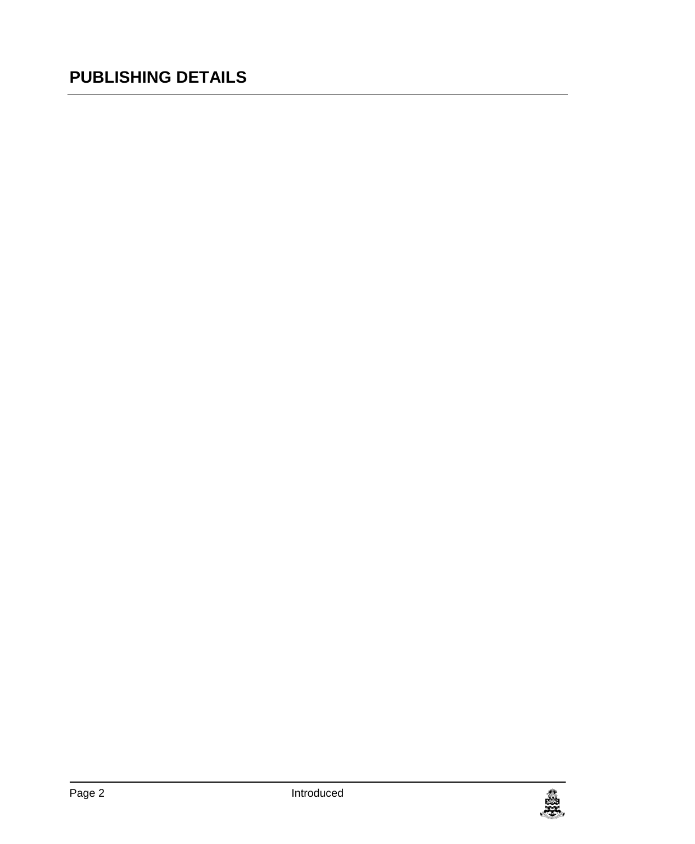## **PUBLISHING DETAILS**

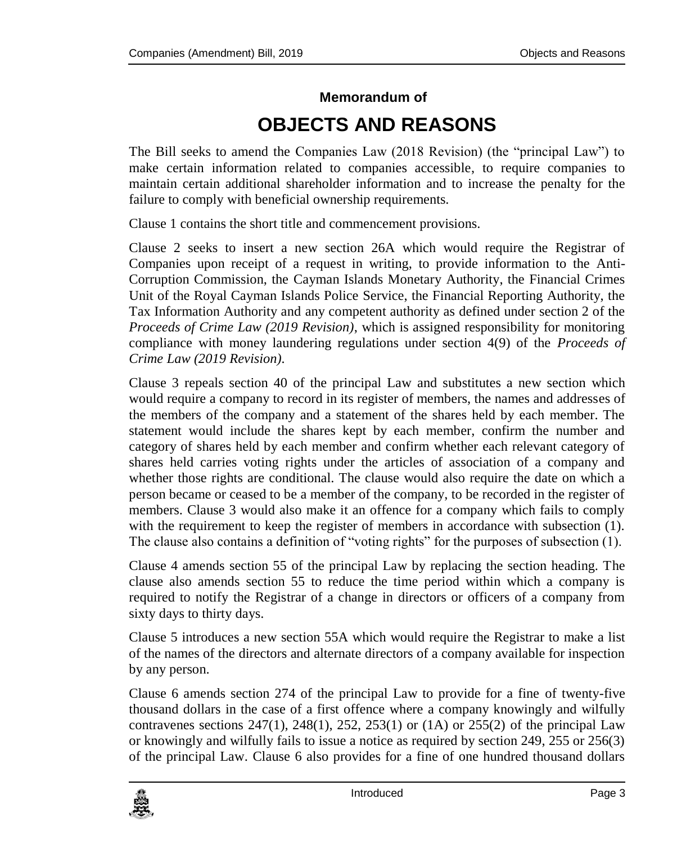## **Memorandum of OBJECTS AND REASONS**

The Bill seeks to amend the Companies Law (2018 Revision) (the "principal Law") to make certain information related to companies accessible, to require companies to maintain certain additional shareholder information and to increase the penalty for the failure to comply with beneficial ownership requirements.

Clause 1 contains the short title and commencement provisions.

Clause 2 seeks to insert a new section 26A which would require the Registrar of Companies upon receipt of a request in writing, to provide information to the Anti-Corruption Commission, the Cayman Islands Monetary Authority, the Financial Crimes Unit of the Royal Cayman Islands Police Service, the Financial Reporting Authority, the Tax Information Authority and any competent authority as defined under section 2 of the *Proceeds of Crime Law (2019 Revision)*, which is assigned responsibility for monitoring compliance with money laundering regulations under section 4(9) of the *Proceeds of Crime Law (2019 Revision).*

Clause 3 repeals section 40 of the principal Law and substitutes a new section which would require a company to record in its register of members, the names and addresses of the members of the company and a statement of the shares held by each member. The statement would include the shares kept by each member, confirm the number and category of shares held by each member and confirm whether each relevant category of shares held carries voting rights under the articles of association of a company and whether those rights are conditional. The clause would also require the date on which a person became or ceased to be a member of the company, to be recorded in the register of members. Clause 3 would also make it an offence for a company which fails to comply with the requirement to keep the register of members in accordance with subsection (1). The clause also contains a definition of "voting rights" for the purposes of subsection (1).

Clause 4 amends section 55 of the principal Law by replacing the section heading. The clause also amends section 55 to reduce the time period within which a company is required to notify the Registrar of a change in directors or officers of a company from sixty days to thirty days.

Clause 5 introduces a new section 55A which would require the Registrar to make a list of the names of the directors and alternate directors of a company available for inspection by any person.

Clause 6 amends section 274 of the principal Law to provide for a fine of twenty-five thousand dollars in the case of a first offence where a company knowingly and wilfully contravenes sections  $247(1)$ ,  $248(1)$ ,  $252$ ,  $253(1)$  or  $(1)$  or  $255(2)$  of the principal Law or knowingly and wilfully fails to issue a notice as required by section 249, 255 or 256(3) of the principal Law. Clause 6 also provides for a fine of one hundred thousand dollars

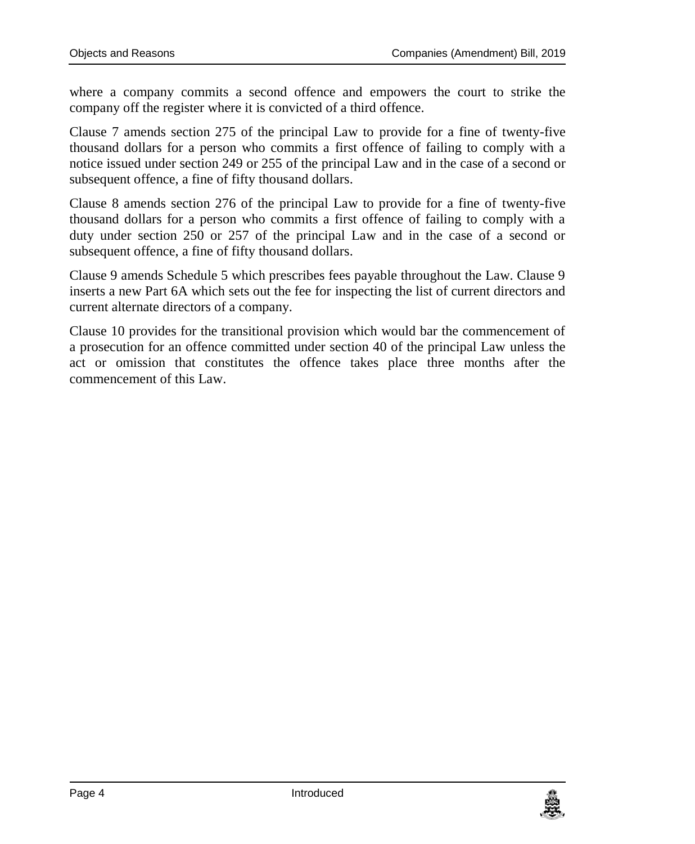where a company commits a second offence and empowers the court to strike the company off the register where it is convicted of a third offence.

Clause 7 amends section 275 of the principal Law to provide for a fine of twenty-five thousand dollars for a person who commits a first offence of failing to comply with a notice issued under section 249 or 255 of the principal Law and in the case of a second or subsequent offence, a fine of fifty thousand dollars.

Clause 8 amends section 276 of the principal Law to provide for a fine of twenty-five thousand dollars for a person who commits a first offence of failing to comply with a duty under section 250 or 257 of the principal Law and in the case of a second or subsequent offence, a fine of fifty thousand dollars.

Clause 9 amends Schedule 5 which prescribes fees payable throughout the Law. Clause 9 inserts a new Part 6A which sets out the fee for inspecting the list of current directors and current alternate directors of a company.

Clause 10 provides for the transitional provision which would bar the commencement of a prosecution for an offence committed under section 40 of the principal Law unless the act or omission that constitutes the offence takes place three months after the commencement of this Law.

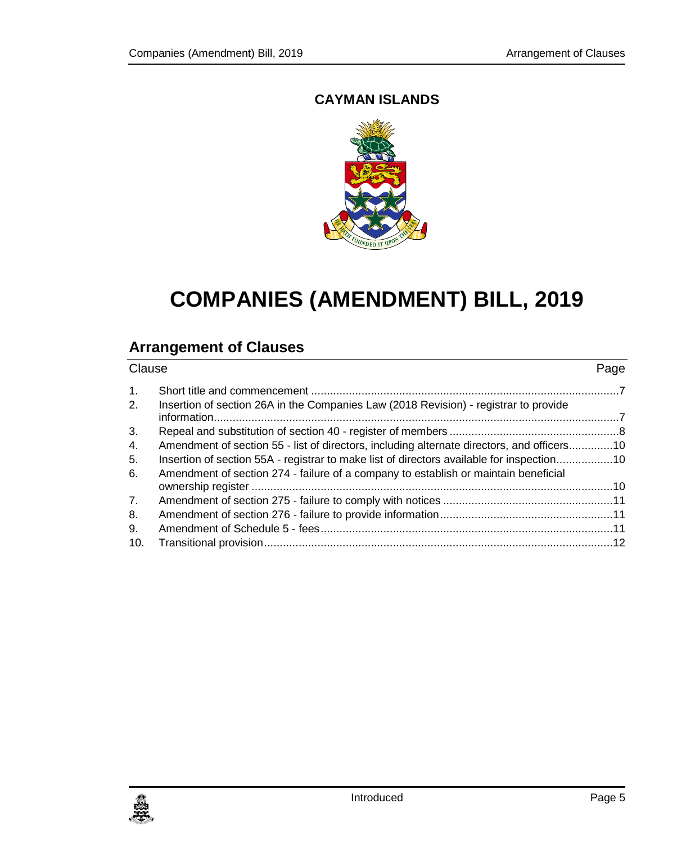### **CAYMAN ISLANDS**



## **COMPANIES (AMENDMENT) BILL, 2019**

### **Arrangement of Clauses**

| Clause         |                                                                                                                                                                                  | Page |
|----------------|----------------------------------------------------------------------------------------------------------------------------------------------------------------------------------|------|
| $\mathbf{1}$ . |                                                                                                                                                                                  |      |
| 2.             | Insertion of section 26A in the Companies Law (2018 Revision) - registrar to provide                                                                                             |      |
| 3.             |                                                                                                                                                                                  |      |
| 4.             | Amendment of section 55 - list of directors, including alternate directors, and officers10                                                                                       |      |
| 5.<br>6.       | Insertion of section 55A - registrar to make list of directors available for inspection10<br>Amendment of section 274 - failure of a company to establish or maintain beneficial |      |
|                |                                                                                                                                                                                  |      |
| 7.             |                                                                                                                                                                                  |      |
| 8.             |                                                                                                                                                                                  |      |
| 9.             |                                                                                                                                                                                  |      |
| 10.            |                                                                                                                                                                                  |      |

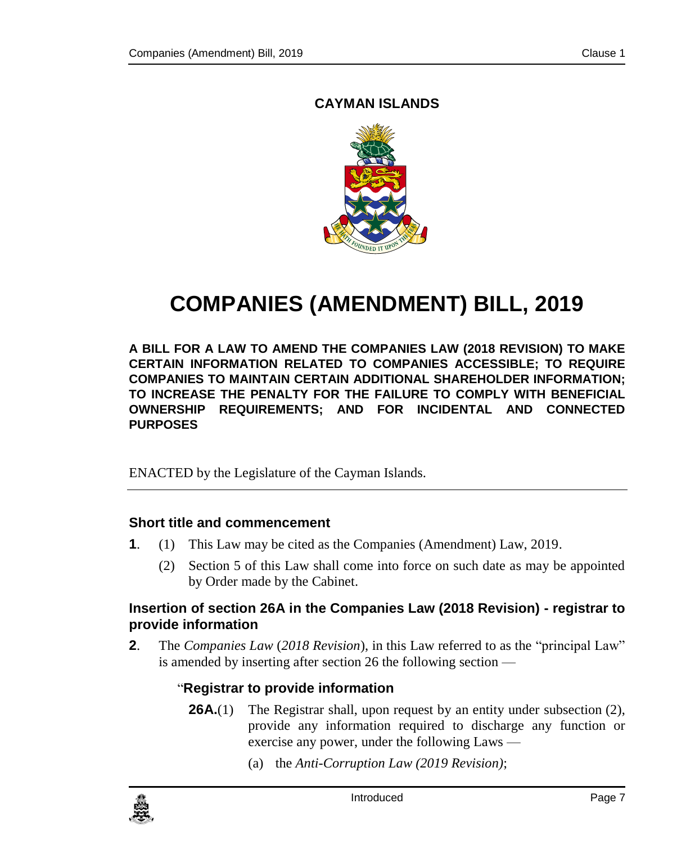### <span id="page-6-0"></span>**CAYMAN ISLANDS**



# **COMPANIES (AMENDMENT) BILL, 2019**

**A BILL FOR A LAW TO AMEND THE COMPANIES LAW (2018 REVISION) TO MAKE CERTAIN INFORMATION RELATED TO COMPANIES ACCESSIBLE; TO REQUIRE COMPANIES TO MAINTAIN CERTAIN ADDITIONAL SHAREHOLDER INFORMATION; TO INCREASE THE PENALTY FOR THE FAILURE TO COMPLY WITH BENEFICIAL OWNERSHIP REQUIREMENTS; AND FOR INCIDENTAL AND CONNECTED PURPOSES**

ENACTED by the Legislature of the Cayman Islands.

### **1. Short title and commencement**

- **1**. (1) This Law may be cited as the Companies (Amendment) Law, 2019.
	- (2) Section 5 of this Law shall come into force on such date as may be appointed by Order made by the Cabinet.

### <span id="page-6-1"></span>**2. Insertion of section 26A in the Companies Law (2018 Revision) - registrar to provide information**

**2**. The *Companies Law* (*2018 Revision*), in this Law referred to as the "principal Law" is amended by inserting after section 26 the following section —

### "**Registrar to provide information**

- **26A.**(1) The Registrar shall, upon request by an entity under subsection (2), provide any information required to discharge any function or exercise any power, under the following Laws —
	- (a) the *Anti-Corruption Law (2019 Revision)*;

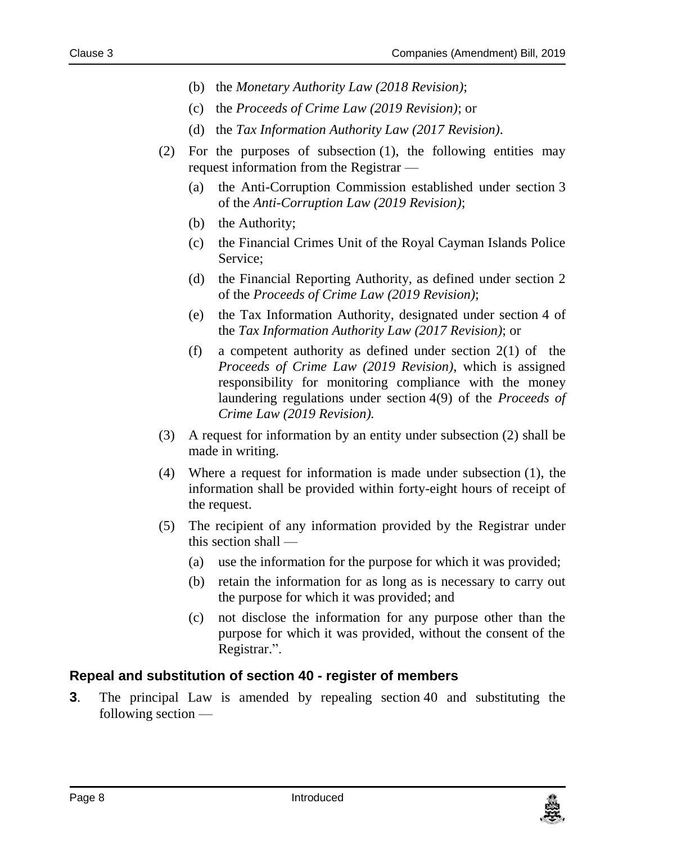- (b) the *Monetary Authority Law (2018 Revision)*;
- (c) the *Proceeds of Crime Law (2019 Revision)*; or
- (d) the *Tax Information Authority Law (2017 Revision)*.
- (2) For the purposes of subsection (1), the following entities may request information from the Registrar —
	- (a) the Anti-Corruption Commission established under section 3 of the *Anti-Corruption Law (2019 Revision)*;
	- (b) the Authority;
	- (c) the Financial Crimes Unit of the Royal Cayman Islands Police Service;
	- (d) the Financial Reporting Authority, as defined under section 2 of the *Proceeds of Crime Law (2019 Revision)*;
	- (e) the Tax Information Authority, designated under section 4 of the *Tax Information Authority Law (2017 Revision)*; or
	- (f) a competent authority as defined under section 2(1) of the *Proceeds of Crime Law (2019 Revision)*, which is assigned responsibility for monitoring compliance with the money laundering regulations under section 4(9) of the *Proceeds of Crime Law (2019 Revision).*
- (3) A request for information by an entity under subsection (2) shall be made in writing.
- (4) Where a request for information is made under subsection (1), the information shall be provided within forty-eight hours of receipt of the request.
- (5) The recipient of any information provided by the Registrar under this section shall —
	- (a) use the information for the purpose for which it was provided;
	- (b) retain the information for as long as is necessary to carry out the purpose for which it was provided; and
	- (c) not disclose the information for any purpose other than the purpose for which it was provided, without the consent of the Registrar.".

### <span id="page-7-0"></span>**3. Repeal and substitution of section 40 - register of members**

**3**. The principal Law is amended by repealing section 40 and substituting the following section —

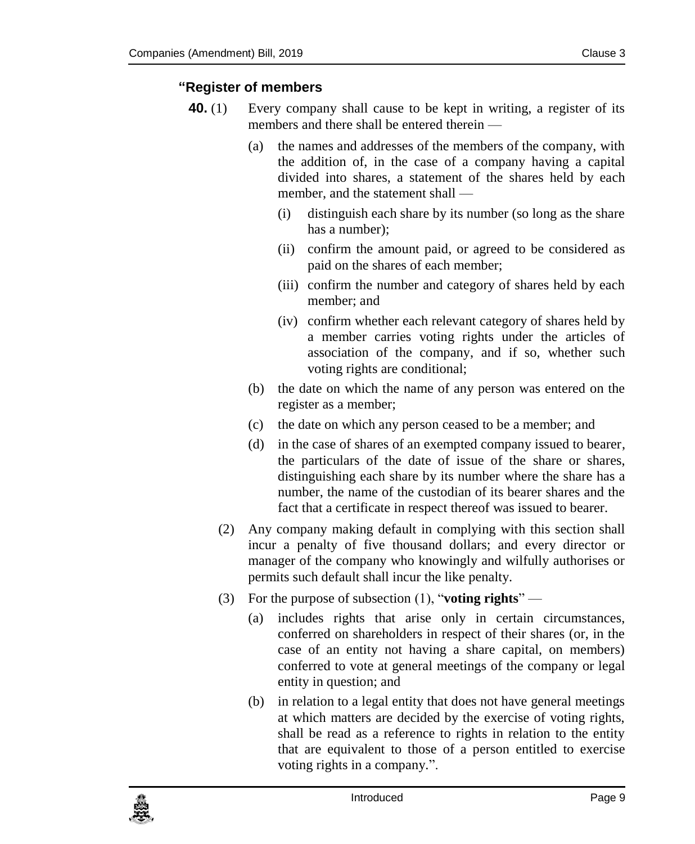### **"Register of members**

- **40.** (1) Every company shall cause to be kept in writing, a register of its members and there shall be entered therein —
	- (a) the names and addresses of the members of the company, with the addition of, in the case of a company having a capital divided into shares, a statement of the shares held by each member, and the statement shall —
		- (i) distinguish each share by its number (so long as the share has a number);
		- (ii) confirm the amount paid, or agreed to be considered as paid on the shares of each member;
		- (iii) confirm the number and category of shares held by each member; and
		- (iv) confirm whether each relevant category of shares held by a member carries voting rights under the articles of association of the company, and if so, whether such voting rights are conditional;
	- (b) the date on which the name of any person was entered on the register as a member;
	- (c) the date on which any person ceased to be a member; and
	- (d) in the case of shares of an exempted company issued to bearer, the particulars of the date of issue of the share or shares, distinguishing each share by its number where the share has a number, the name of the custodian of its bearer shares and the fact that a certificate in respect thereof was issued to bearer.
	- (2) Any company making default in complying with this section shall incur a penalty of five thousand dollars; and every director or manager of the company who knowingly and wilfully authorises or permits such default shall incur the like penalty.
	- (3) For the purpose of subsection (1), "**voting rights**"
		- (a) includes rights that arise only in certain circumstances, conferred on shareholders in respect of their shares (or, in the case of an entity not having a share capital, on members) conferred to vote at general meetings of the company or legal entity in question; and
		- (b) in relation to a legal entity that does not have general meetings at which matters are decided by the exercise of voting rights, shall be read as a reference to rights in relation to the entity that are equivalent to those of a person entitled to exercise voting rights in a company.".

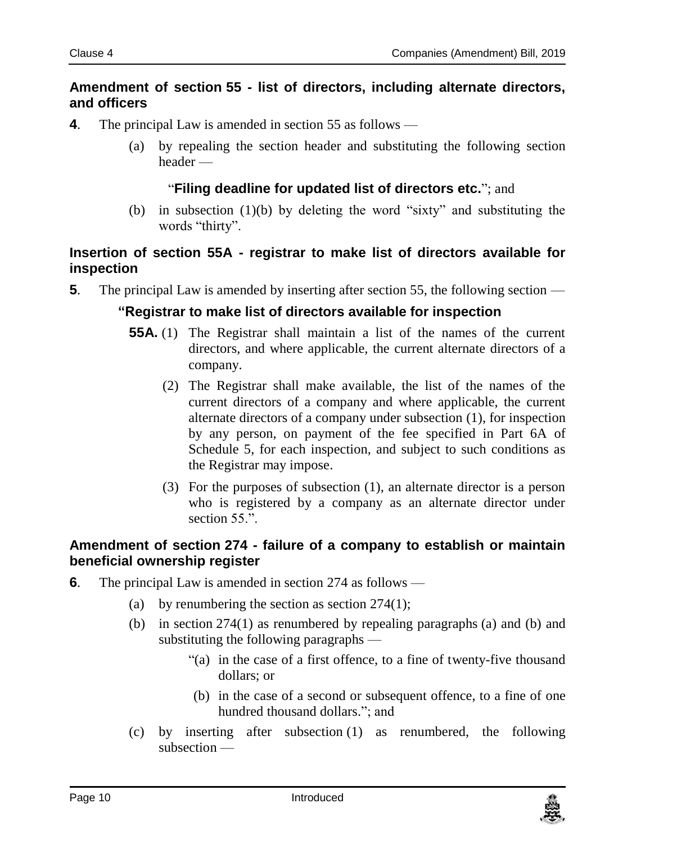### <span id="page-9-0"></span>**4. Amendment of section 55 - list of directors, including alternate directors, and officers**

- **4**. The principal Law is amended in section 55 as follows
	- (a) by repealing the section header and substituting the following section header —

### "**Filing deadline for updated list of directors etc.**"; and

(b) in subsection (1)(b) by deleting the word "sixty" and substituting the words "thirty".

### <span id="page-9-1"></span>**5. Insertion of section 55A - registrar to make list of directors available for inspection**

**5**. The principal Law is amended by inserting after section 55, the following section —

### **"Registrar to make list of directors available for inspection**

- **55A.** (1) The Registrar shall maintain a list of the names of the current directors, and where applicable, the current alternate directors of a company.
	- (2) The Registrar shall make available, the list of the names of the current directors of a company and where applicable, the current alternate directors of a company under subsection (1), for inspection by any person, on payment of the fee specified in Part 6A of Schedule 5, for each inspection, and subject to such conditions as the Registrar may impose.
	- (3) For the purposes of subsection (1), an alternate director is a person who is registered by a company as an alternate director under section 55.".

### <span id="page-9-2"></span>**6. Amendment of section 274 - failure of a company to establish or maintain beneficial ownership register**

- **6**. The principal Law is amended in section 274 as follows
	- (a) by renumbering the section as section 274(1);
	- (b) in section 274(1) as renumbered by repealing paragraphs (a) and (b) and substituting the following paragraphs —
		- "(a) in the case of a first offence, to a fine of twenty-five thousand dollars; or
		- (b) in the case of a second or subsequent offence, to a fine of one hundred thousand dollars."; and
	- (c) by inserting after subsection (1) as renumbered, the following subsection —

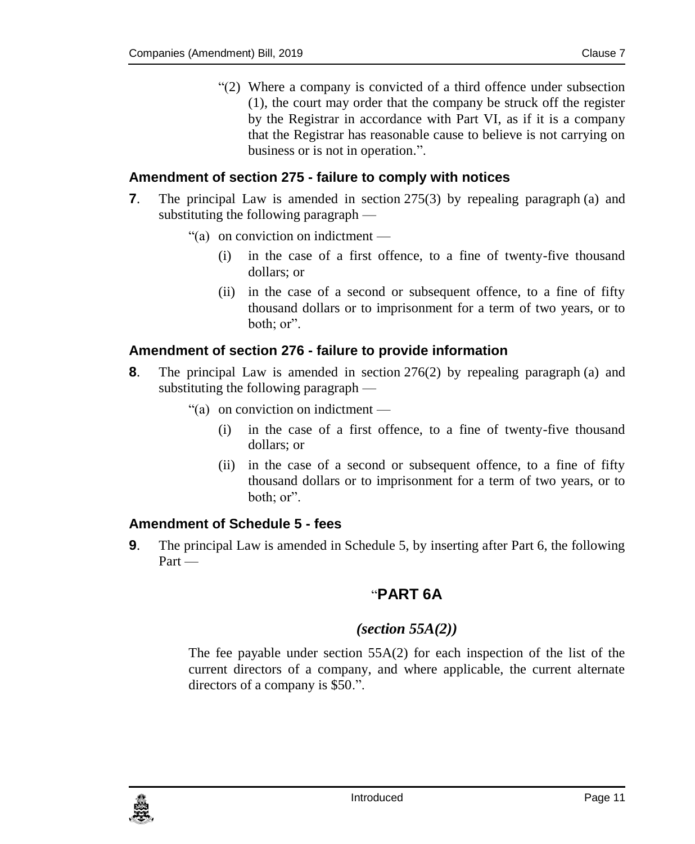"(2) Where a company is convicted of a third offence under subsection (1), the court may order that the company be struck off the register by the Registrar in accordance with Part VI, as if it is a company that the Registrar has reasonable cause to believe is not carrying on business or is not in operation.".

### <span id="page-10-0"></span>**7. Amendment of section 275 - failure to comply with notices**

- **7**. The principal Law is amended in section 275(3) by repealing paragraph (a) and substituting the following paragraph —
	- "(a) on conviction on indictment
		- (i) in the case of a first offence, to a fine of twenty-five thousand dollars; or
		- (ii) in the case of a second or subsequent offence, to a fine of fifty thousand dollars or to imprisonment for a term of two years, or to  $b$ oth $\cdot$  or  $\cdot$

### <span id="page-10-1"></span>**8. Amendment of section 276 - failure to provide information**

- **8**. The principal Law is amended in section 276(2) by repealing paragraph (a) and substituting the following paragraph —
	- "(a) on conviction on indictment
		- (i) in the case of a first offence, to a fine of twenty-five thousand dollars; or
		- (ii) in the case of a second or subsequent offence, to a fine of fifty thousand dollars or to imprisonment for a term of two years, or to both; or".

### <span id="page-10-2"></span>**9. Amendment of Schedule 5 - fees**

**9**. The principal Law is amended in Schedule 5, by inserting after Part 6, the following Part —

### "**PART 6A**

### *(section 55A(2))*

The fee payable under section 55A(2) for each inspection of the list of the current directors of a company, and where applicable, the current alternate directors of a company is \$50.".